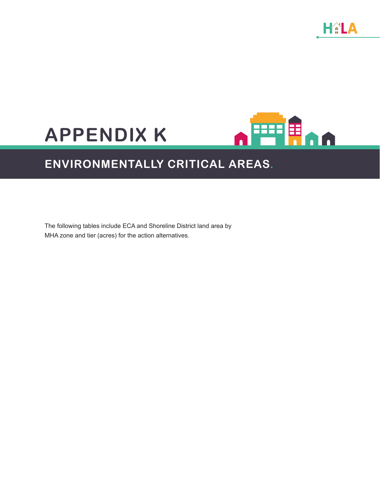HALA

# **APPENDIX K**



# **ENVIRONMENTALLY CRITICAL AREAS.**

The following tables include ECA and Shoreline District land area by MHA zone and tier (acres) for the action alternatives.